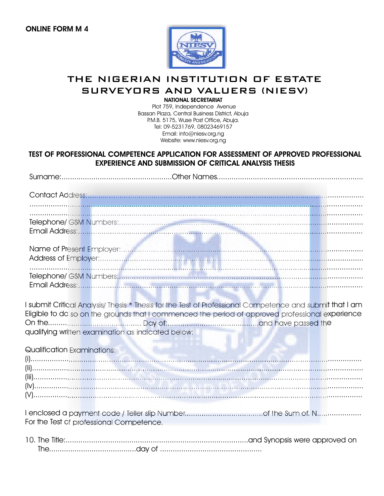

# THE NIGERIAN INSTITUTION OF ESTATE SURVEYORS AND VALUERS (NIESV)

**NATIONAL SECRETARIAT** 

Plot 759, Independence Avenue Bassan Plaza, Central Business District, Abuja P.M.B. 5175, Wuse Post Office, Abuja. Tel: 09-5231769, 08023469157 Email: info@niesv.org.ng Website: www.niesv.org.ng

### TEST OF PROFESSIONAL COMPETENCE APPLICATION FOR ASSESSMENT OF APPROVED PROFESSIONAL **EXPERIENCE AND SUBMISSION OF CRITICAL ANALYSIS THESIS**

| I submit Critical Analysis/ Thesis * Thesis for the Test of Professional Competence and submit that I am<br>Eligible to do so on the grounds that I commenced the period of approved professional experience<br>qualifying written examination as indicated below: |  |
|--------------------------------------------------------------------------------------------------------------------------------------------------------------------------------------------------------------------------------------------------------------------|--|
| Qualification Examinations:                                                                                                                                                                                                                                        |  |
|                                                                                                                                                                                                                                                                    |  |
|                                                                                                                                                                                                                                                                    |  |
| For the Test of professional Competence.                                                                                                                                                                                                                           |  |
|                                                                                                                                                                                                                                                                    |  |